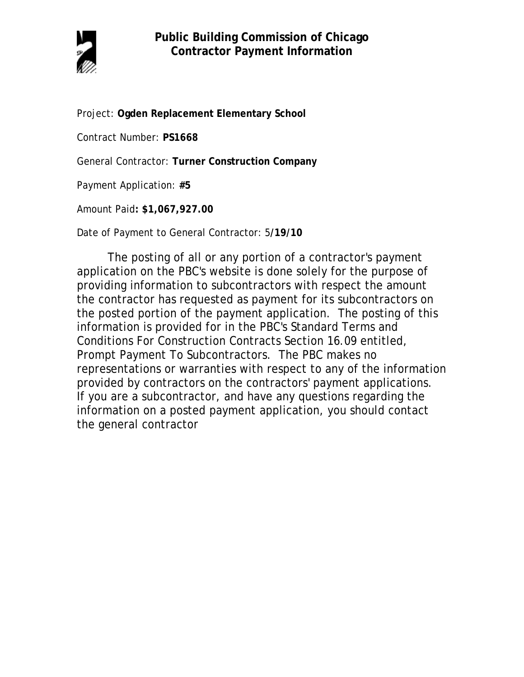

Project: **Ogden Replacement Elementary School**

Contract Number: **PS1668**

General Contractor: **Turner Construction Company**

Payment Application: **#5**

Amount Paid**: \$1,067,927.00** 

Date of Payment to General Contractor: 5**/19/10**

The posting of all or any portion of a contractor's payment application on the PBC's website is done solely for the purpose of providing information to subcontractors with respect the amount the contractor has requested as payment for its subcontractors on the posted portion of the payment application. The posting of this information is provided for in the PBC's Standard Terms and Conditions For Construction Contracts Section 16.09 entitled, Prompt Payment To Subcontractors. The PBC makes no representations or warranties with respect to any of the information provided by contractors on the contractors' payment applications. If you are a subcontractor, and have any questions regarding the information on a posted payment application, you should contact the general contractor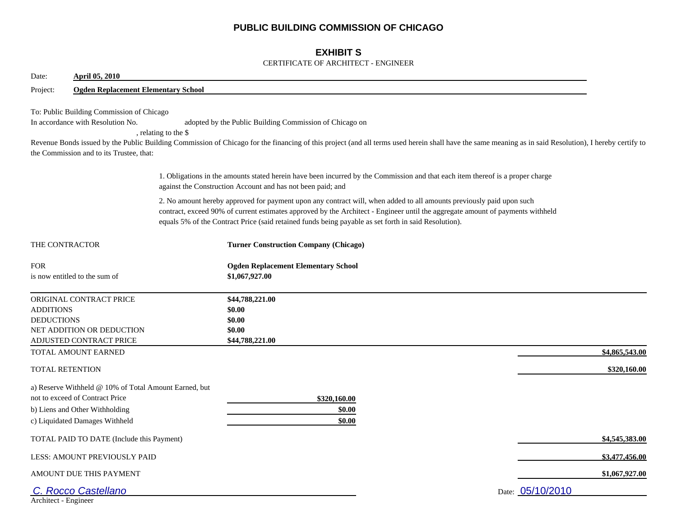## **PUBLIC BUILDING COMMISSION OF CHICAGO**

## **EXHIBIT S**

#### CERTIFICATE OF ARCHITECT - ENGINEER

| <b>April 05, 2010</b><br>Date:                                                                                                                               |                                                                                                                                                                                                                                                                                                                                                                |                  |  |  |  |
|--------------------------------------------------------------------------------------------------------------------------------------------------------------|----------------------------------------------------------------------------------------------------------------------------------------------------------------------------------------------------------------------------------------------------------------------------------------------------------------------------------------------------------------|------------------|--|--|--|
| Project:                                                                                                                                                     | <b>Ogden Replacement Elementary School</b>                                                                                                                                                                                                                                                                                                                     |                  |  |  |  |
| To: Public Building Commission of Chicago<br>In accordance with Resolution No.<br>the Commission and to its Trustee, that:                                   | adopted by the Public Building Commission of Chicago on<br>, relating to the \$<br>Revenue Bonds issued by the Public Building Commission of Chicago for the financing of this project (and all terms used herein shall have the same meaning as in said Resolution), I hereby certify to                                                                      |                  |  |  |  |
|                                                                                                                                                              | 1. Obligations in the amounts stated herein have been incurred by the Commission and that each item thereof is a proper charge<br>against the Construction Account and has not been paid; and                                                                                                                                                                  |                  |  |  |  |
|                                                                                                                                                              | 2. No amount hereby approved for payment upon any contract will, when added to all amounts previously paid upon such<br>contract, exceed 90% of current estimates approved by the Architect - Engineer until the aggregate amount of payments withheld<br>equals 5% of the Contract Price (said retained funds being payable as set forth in said Resolution). |                  |  |  |  |
| THE CONTRACTOR                                                                                                                                               | <b>Turner Construction Company (Chicago)</b>                                                                                                                                                                                                                                                                                                                   |                  |  |  |  |
| <b>FOR</b><br>is now entitled to the sum of                                                                                                                  | <b>Ogden Replacement Elementary School</b><br>\$1,067,927.00                                                                                                                                                                                                                                                                                                   |                  |  |  |  |
| ORIGINAL CONTRACT PRICE<br><b>ADDITIONS</b><br><b>DEDUCTIONS</b><br>NET ADDITION OR DEDUCTION<br><b>ADJUSTED CONTRACT PRICE</b>                              | \$44,788,221.00<br>\$0.00<br>\$0.00<br>\$0.00<br>\$44,788,221.00                                                                                                                                                                                                                                                                                               |                  |  |  |  |
| TOTAL AMOUNT EARNED                                                                                                                                          |                                                                                                                                                                                                                                                                                                                                                                | \$4,865,543.00   |  |  |  |
| <b>TOTAL RETENTION</b>                                                                                                                                       |                                                                                                                                                                                                                                                                                                                                                                | \$320,160.00     |  |  |  |
| a) Reserve Withheld @ 10% of Total Amount Earned, but<br>not to exceed of Contract Price<br>b) Liens and Other Withholding<br>c) Liquidated Damages Withheld | \$320,160.00<br>\$0.00<br>\$0.00                                                                                                                                                                                                                                                                                                                               |                  |  |  |  |
| TOTAL PAID TO DATE (Include this Payment)                                                                                                                    |                                                                                                                                                                                                                                                                                                                                                                | \$4,545,383.00   |  |  |  |
| LESS: AMOUNT PREVIOUSLY PAID                                                                                                                                 |                                                                                                                                                                                                                                                                                                                                                                | \$3,477,456.00   |  |  |  |
| AMOUNT DUE THIS PAYMENT                                                                                                                                      |                                                                                                                                                                                                                                                                                                                                                                | \$1,067,927.00   |  |  |  |
| <b>Rocco Castellano</b><br>Architect - Engineer                                                                                                              |                                                                                                                                                                                                                                                                                                                                                                | Date: 05/10/2010 |  |  |  |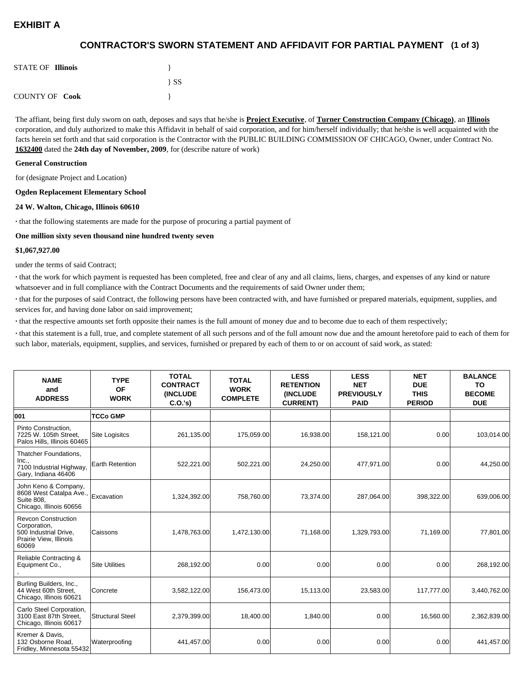# **EXHIBIT A**

## **(1 of 3) CONTRACTOR'S SWORN STATEMENT AND AFFIDAVIT FOR PARTIAL PAYMENT**

| <b>STATE OF Illinois</b> |          |
|--------------------------|----------|
|                          | $\{SS\}$ |
| <b>COUNTY OF Cook</b>    |          |

The affiant, being first duly sworn on oath, deposes and says that he/she is **Project Executive**, of **Turner Construction Company (Chicago)**, an **Illinois** corporation, and duly authorized to make this Affidavit in behalf of said corporation, and for him/herself individually; that he/she is well acquainted with the facts herein set forth and that said corporation is the Contractor with the PUBLIC BUILDING COMMISSION OF CHICAGO, Owner, under Contract No. **1632400** dated the **24th day of November, 2009**, for (describe nature of work)

#### **General Construction**

for (designate Project and Location)

#### **Ogden Replacement Elementary School**

#### **24 W. Walton, Chicago, Illinois 60610**

**·** that the following statements are made for the purpose of procuring a partial payment of

#### **One million sixty seven thousand nine hundred twenty seven**

#### **\$1,067,927.00**

under the terms of said Contract;

**·** that the work for which payment is requested has been completed, free and clear of any and all claims, liens, charges, and expenses of any kind or nature whatsoever and in full compliance with the Contract Documents and the requirements of said Owner under them;

**·** that for the purposes of said Contract, the following persons have been contracted with, and have furnished or prepared materials, equipment, supplies, and services for, and having done labor on said improvement;

**·** that the respective amounts set forth opposite their names is the full amount of money due and to become due to each of them respectively;

**·** that this statement is a full, true, and complete statement of all such persons and of the full amount now due and the amount heretofore paid to each of them for such labor, materials, equipment, supplies, and services, furnished or prepared by each of them to or on account of said work, as stated:

| <b>NAME</b><br>and<br><b>ADDRESS</b>                                                                   | <b>TYPE</b><br><b>OF</b><br><b>WORK</b> | <b>TOTAL</b><br><b>CONTRACT</b><br><b>(INCLUDE)</b><br>C.0.'s) | <b>TOTAL</b><br><b>WORK</b><br><b>COMPLETE</b> | <b>LESS</b><br><b>RETENTION</b><br><b>(INCLUDE)</b><br><b>CURRENT)</b> | <b>LESS</b><br><b>NET</b><br><b>PREVIOUSLY</b><br><b>PAID</b> | <b>NET</b><br><b>DUE</b><br><b>THIS</b><br><b>PERIOD</b> | <b>BALANCE</b><br><b>TO</b><br><b>BECOME</b><br><b>DUE</b> |
|--------------------------------------------------------------------------------------------------------|-----------------------------------------|----------------------------------------------------------------|------------------------------------------------|------------------------------------------------------------------------|---------------------------------------------------------------|----------------------------------------------------------|------------------------------------------------------------|
| 001                                                                                                    | <b>TCCo GMP</b>                         |                                                                |                                                |                                                                        |                                                               |                                                          |                                                            |
| Pinto Construction,<br>7225 W. 105th Street.<br>Palos Hills, Illinois 60465                            | Site Logisitcs                          | 261,135.00                                                     | 175,059.00                                     | 16,938.00                                                              | 158,121.00                                                    | 0.00 <sub>l</sub>                                        | 103,014.00                                                 |
| Thatcher Foundations,<br>Inc.,<br>7100 Industrial Highway,<br>Gary, Indiana 46406                      | <b>Earth Retention</b>                  | 522,221.00                                                     | 502,221.00                                     | 24,250.00                                                              | 477.971.00                                                    | 0.00                                                     | 44,250.00                                                  |
| John Keno & Company,<br>8608 West Catalpa Ave.,<br><b>Suite 808.</b><br>Chicago, Illinois 60656        | Excavation                              | 1,324,392.00                                                   | 758,760.00                                     | 73,374.00                                                              | 287,064.00                                                    | 398,322.00                                               | 639,006.00                                                 |
| <b>Revcon Construction</b><br>Corporation,<br>500 Industrial Drive.<br>Prairie View, Illinois<br>60069 | Caissons                                | 1,478,763.00                                                   | 1,472,130.00                                   | 71.168.00                                                              | 1,329,793.00                                                  | 71,169.00                                                | 77,801.00                                                  |
| Reliable Contracting &<br>Equipment Co.,                                                               | <b>Site Utilities</b>                   | 268.192.00                                                     | 0.00                                           | 0.00                                                                   | 0.00                                                          | 0.00                                                     | 268.192.00                                                 |
| Burling Builders, Inc.,<br>44 West 60th Street.<br>Chicago, Illinois 60621                             | Concrete                                | 3,582,122.00                                                   | 156,473.00                                     | 15,113.00                                                              | 23,583.00                                                     | 117,777.00                                               | 3,440,762.00                                               |
| Carlo Steel Corporation,<br>3100 East 87th Street,<br>Chicago, Illinois 60617                          | <b>Structural Steel</b>                 | 2,379,399.00                                                   | 18,400.00                                      | 1,840.00                                                               | 0.00 <sub>l</sub>                                             | 16,560.00                                                | 2,362,839.00                                               |
| Kremer & Davis.<br>132 Osborne Road,<br>Fridley, Minnesota 55432                                       | Waterproofing                           | 441,457.00                                                     | 0.00                                           | 0.00                                                                   | 0.00                                                          | 0.00                                                     | 441,457.00                                                 |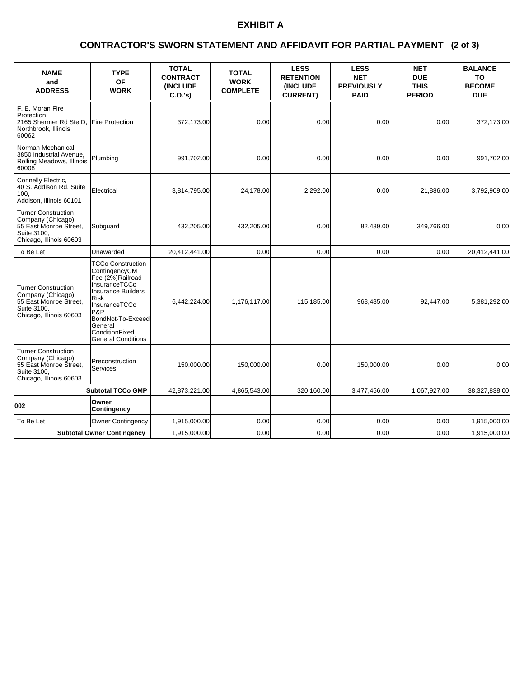# **EXHIBIT A**

### **(2 of 3) CONTRACTOR'S SWORN STATEMENT AND AFFIDAVIT FOR PARTIAL PAYMENT**

| <b>NAME</b><br>and<br><b>ADDRESS</b>                                                                                 | <b>TYPE</b><br><b>OF</b><br><b>WORK</b>                                                                                                                                                                                    | <b>TOTAL</b><br><b>CONTRACT</b><br><b>(INCLUDE</b><br>$C.O.'s$ ) | <b>TOTAL</b><br><b>WORK</b><br><b>COMPLETE</b> | <b>LESS</b><br><b>RETENTION</b><br><b>(INCLUDE)</b><br><b>CURRENT)</b> | <b>LESS</b><br><b>NET</b><br><b>PREVIOUSLY</b><br><b>PAID</b> | <b>NET</b><br><b>DUE</b><br><b>THIS</b><br><b>PERIOD</b> | <b>BALANCE</b><br>TO<br><b>BECOME</b><br><b>DUE</b> |
|----------------------------------------------------------------------------------------------------------------------|----------------------------------------------------------------------------------------------------------------------------------------------------------------------------------------------------------------------------|------------------------------------------------------------------|------------------------------------------------|------------------------------------------------------------------------|---------------------------------------------------------------|----------------------------------------------------------|-----------------------------------------------------|
| F. E. Moran Fire<br>Protection.<br>2165 Shermer Rd Ste D,<br>Northbrook, Illinois<br>60062                           | <b>Fire Protection</b>                                                                                                                                                                                                     | 372,173.00                                                       | 0.00                                           | 0.00                                                                   | 0.00                                                          | 0.00                                                     | 372,173.00                                          |
| Norman Mechanical.<br>3850 Industrial Avenue,<br>Rolling Meadows, Illinois<br>60008                                  | Plumbing                                                                                                                                                                                                                   | 991,702.00                                                       | 0.00                                           | 0.00                                                                   | 0.00                                                          | 0.00                                                     | 991,702.00                                          |
| Connelly Electric,<br>40 S. Addison Rd, Suite<br>100.<br>Addison, Illinois 60101                                     | Electrical                                                                                                                                                                                                                 | 3,814,795.00                                                     | 24,178.00                                      | 2,292.00                                                               | 0.00                                                          | 21,886.00                                                | 3,792,909.00                                        |
| <b>Turner Construction</b><br>Company (Chicago),<br>55 East Monroe Street,<br>Suite 3100.<br>Chicago, Illinois 60603 | Subguard                                                                                                                                                                                                                   | 432,205.00                                                       | 432,205.00                                     | 0.00                                                                   | 82,439.00                                                     | 349,766.00                                               | 0.00                                                |
| To Be Let                                                                                                            | Unawarded                                                                                                                                                                                                                  | 20,412,441.00                                                    | 0.00                                           | 0.00                                                                   | 0.00                                                          | 0.00                                                     | 20,412,441.00                                       |
| <b>Turner Construction</b><br>Company (Chicago),<br>55 East Monroe Street,<br>Suite 3100.<br>Chicago, Illinois 60603 | <b>TCCo Construction</b><br>ContingencyCM<br>Fee (2%)Railroad<br>InsuranceTCCo<br><b>Insurance Builders</b><br>Risk<br>InsuranceTCCo<br>P&P<br>BondNot-To-Exceed<br>General<br>ConditionFixed<br><b>General Conditions</b> | 6,442,224.00                                                     | 1,176,117.00                                   | 115,185.00                                                             | 968,485.00                                                    | 92,447.00                                                | 5,381,292.00                                        |
| <b>Turner Construction</b><br>Company (Chicago),<br>55 East Monroe Street,<br>Suite 3100.<br>Chicago, Illinois 60603 | Preconstruction<br>Services                                                                                                                                                                                                | 150,000.00                                                       | 150,000.00                                     | 0.00                                                                   | 150,000.00                                                    | 0.00                                                     | 0.00                                                |
| <b>Subtotal TCCo GMP</b>                                                                                             |                                                                                                                                                                                                                            | 42,873,221.00                                                    | 4,865,543.00                                   | 320,160.00                                                             | 3,477,456.00                                                  | 1,067,927.00                                             | 38,327,838.00                                       |
| 002                                                                                                                  | Owner<br>Contingency                                                                                                                                                                                                       |                                                                  |                                                |                                                                        |                                                               |                                                          |                                                     |
| To Be Let                                                                                                            | <b>Owner Contingency</b>                                                                                                                                                                                                   | 1,915,000.00                                                     | 0.00                                           | 0.00                                                                   | 0.00                                                          | 0.00                                                     | 1,915,000.00                                        |
| <b>Subtotal Owner Contingency</b>                                                                                    |                                                                                                                                                                                                                            | 1,915,000.00                                                     | 0.00                                           | 0.00                                                                   | 0.00                                                          | 0.00                                                     | 1,915,000.00                                        |